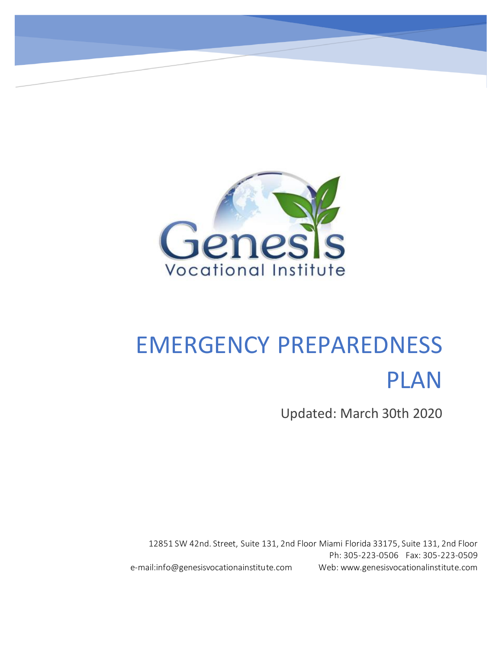

# EMERGENCY PREPAREDNESS PLAN

Updated: March 30th 2020

12851 SW 42nd. Street, Suite 131, 2nd Floor Miami Florida 33175, Suite 131, 2nd Floor Ph: 305-223-0506 Fax: 305-223-0509 e-mail:info@genesisvocationainstitute.com Web: www.genesisvocationalinstitute.com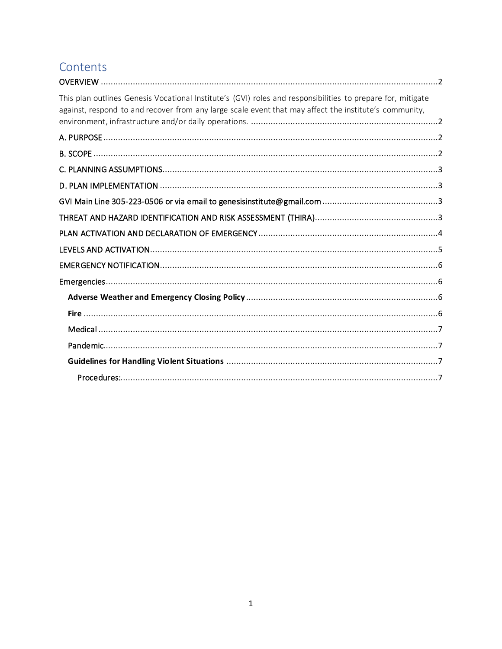## Contents

| This plan outlines Genesis Vocational Institute's (GVI) roles and responsibilities to prepare for, mitigate<br>against, respond to and recover from any large scale event that may affect the institute's community, |
|----------------------------------------------------------------------------------------------------------------------------------------------------------------------------------------------------------------------|
|                                                                                                                                                                                                                      |
|                                                                                                                                                                                                                      |
|                                                                                                                                                                                                                      |
|                                                                                                                                                                                                                      |
|                                                                                                                                                                                                                      |
|                                                                                                                                                                                                                      |
|                                                                                                                                                                                                                      |
|                                                                                                                                                                                                                      |
|                                                                                                                                                                                                                      |
|                                                                                                                                                                                                                      |
|                                                                                                                                                                                                                      |
|                                                                                                                                                                                                                      |
|                                                                                                                                                                                                                      |
|                                                                                                                                                                                                                      |
|                                                                                                                                                                                                                      |
|                                                                                                                                                                                                                      |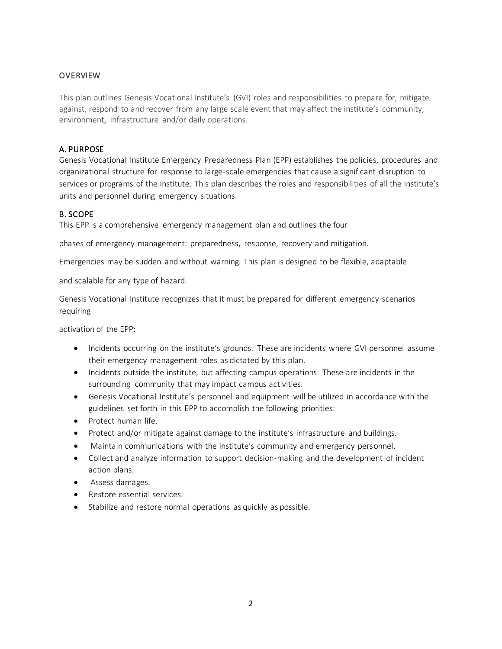#### <span id="page-2-0"></span>**OVERVIEW**

<span id="page-2-1"></span>This plan outlines Genesis Vocational Institute's (GVI) roles and responsibilities to prepare for, mitigate against, respond to and recover from any large scale event that may affect the institute's community, environment, infrastructure and/or daily operations.

#### <span id="page-2-2"></span>A. PURPOSE

Genesis Vocational Institute Emergency Preparedness Plan (EPP) establishes the policies, procedures and organizational structure for response to large-scale emergencies that cause a significant disruption to services or programs of the institute. This plan describes the roles and responsibilities of all the institute's units and personnel during emergency situations.

#### <span id="page-2-3"></span>B. SCOPE

This EPP is a comprehensive emergency management plan and outlines the four

phases of emergency management: preparedness, response, recovery and mitigation.

Emergencies may be sudden and without warning. This plan is designed to be flexible, adaptable

and scalable for any type of hazard.

Genesis Vocational Institute recognizes that it must be prepared for different emergency scenarios requiring

activation of the EPP:

- Incidents occurring on the institute's grounds. These are incidents where GVI personnel assume their emergency management roles as dictated by this plan.
- Incidents outside the institute, but affecting campus operations. These are incidents in the surrounding community that may impact campus activities.
- Genesis Vocational Institute's personnel and equipment will be utilized in accordance with the guidelines set forth in this EPP to accomplish the following priorities:
- Protect human life.
- Protect and/or mitigate against damage to the institute's infrastructure and buildings.
- Maintain communications with the institute's community and emergency personnel.
- Collect and analyze information to support decision-making and the development of incident action plans.
- Assess damages.
- Restore essential services.
- Stabilize and restore normal operations as quickly as possible.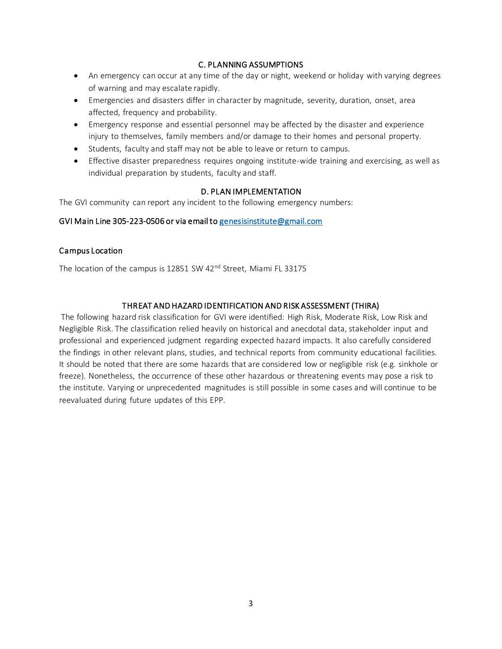#### C. PLANNING ASSUMPTIONS

- <span id="page-3-0"></span>• An emergency can occur at any time of the day or night, weekend or holiday with varying degrees of warning and may escalate rapidly.
- Emergencies and disasters differ in character by magnitude, severity, duration, onset, area affected, frequency and probability.
- Emergency response and essential personnel may be affected by the disaster and experience injury to themselves, family members and/or damage to their homes and personal property.
- Students, faculty and staff may not be able to leave or return to campus.
- Effective disaster preparedness requires ongoing institute-wide training and exercising, as well as individual preparation by students, faculty and staff.

#### D. PLAN IMPLEMENTATION

<span id="page-3-1"></span>The GVI community can report any incident to the following emergency numbers:

#### <span id="page-3-2"></span>GVI Main Line 305-223-0506 or via email t[o genesisinstitute@gmail.com](mailto:genesisinstitute@gmail.com)

#### Campus Location

The location of the campus is 12851 SW 42<sup>nd</sup> Street, Miami FL 33175

#### THREAT AND HAZARD IDENTIFICATION AND RISK ASSESSMENT (THIRA)

<span id="page-3-3"></span>The following hazard risk classification for GVI were identified: High Risk, Moderate Risk, Low Risk and Negligible Risk. The classification relied heavily on historical and anecdotal data, stakeholder input and professional and experienced judgment regarding expected hazard impacts. It also carefully considered the findings in other relevant plans, studies, and technical reports from community educational facilities. It should be noted that there are some hazards that are considered low or negligible risk (e.g. sinkhole or freeze). Nonetheless, the occurrence of these other hazardous or threatening events may pose a risk to the institute. Varying or unprecedented magnitudes is still possible in some cases and will continue to be reevaluated during future updates of this EPP.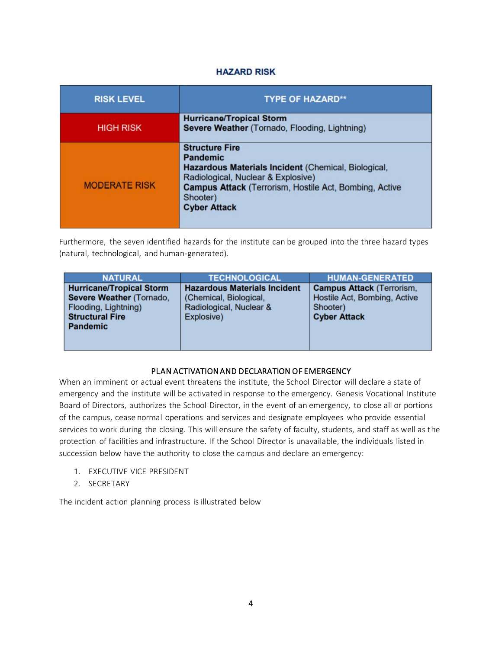#### **HAZARD RISK**

| <b>RISK LEVEL</b>    | <b>TYPE OF HAZARD**</b>                                                                                                                                                                                                                   |
|----------------------|-------------------------------------------------------------------------------------------------------------------------------------------------------------------------------------------------------------------------------------------|
| <b>HIGH RISK</b>     | <b>Hurricane/Tropical Storm</b><br>Severe Weather (Tornado, Flooding, Lightning)                                                                                                                                                          |
| <b>MODERATE RISK</b> | <b>Structure Fire</b><br><b>Pandemic</b><br>Hazardous Materials Incident (Chemical, Biological,<br>Radiological, Nuclear & Explosive)<br><b>Campus Attack (Terrorism, Hostile Act, Bombing, Active</b><br>Shooter)<br><b>Cyber Attack</b> |

Furthermore, the seven identified hazards for the institute can be grouped into the three hazard types (natural, technological, and human-generated).

| <b>NATURAL</b>                                                                                                                   | <b>TECHNOLOGICAL</b>                                                                                   | <b>HUMAN-GENERATED</b>                                                                              |
|----------------------------------------------------------------------------------------------------------------------------------|--------------------------------------------------------------------------------------------------------|-----------------------------------------------------------------------------------------------------|
| <b>Hurricane/Tropical Storm</b><br>Severe Weather (Tornado,<br>Flooding, Lightning)<br><b>Structural Fire</b><br><b>Pandemic</b> | <b>Hazardous Materials Incident</b><br>(Chemical, Biological,<br>Radiological, Nuclear &<br>Explosive) | <b>Campus Attack (Terrorism,</b><br>Hostile Act, Bombing, Active<br>Shooter)<br><b>Cyber Attack</b> |

#### PLAN ACTIVATION AND DECLARATION OF EMERGENCY

<span id="page-4-0"></span>When an imminent or actual event threatens the institute, the School Director will declare a state of emergency and the institute will be activated in response to the emergency. Genesis Vocational Institute Board of Directors, authorizes the School Director, in the event of an emergency, to close all or portions of the campus, cease normal operations and services and designate employees who provide essential services to work during the closing. This will ensure the safety of faculty, students, and staff as well as the protection of facilities and infrastructure. If the School Director is unavailable, the individuals listed in succession below have the authority to close the campus and declare an emergency:

- 1. EXECUTIVE VICE PRESIDENT
- 2. SECRETARY

The incident action planning process is illustrated below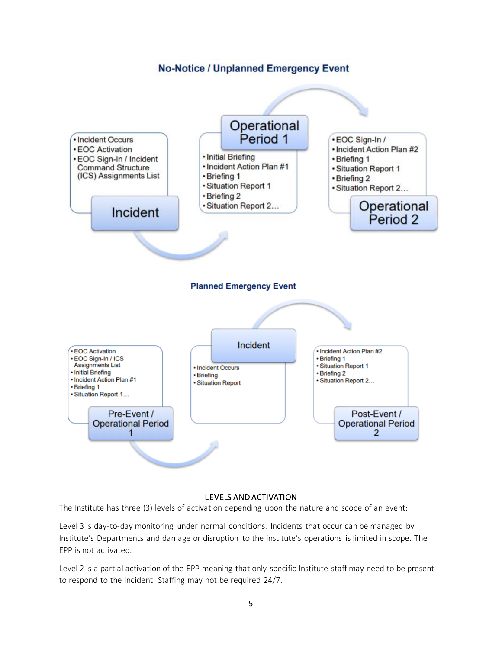#### **No-Notice / Unplanned Emergency Event**



#### LEVELS AND ACTIVATION

<span id="page-5-0"></span>The Institute has three (3) levels of activation depending upon the nature and scope of an event:

Level 3 is day-to-day monitoring under normal conditions. Incidents that occur can be managed by Institute's Departments and damage or disruption to the institute's operations is limited in scope. The EPP is not activated.

Level 2 is a partial activation of the EPP meaning that only specific Institute staff may need to be present to respond to the incident. Staffing may not be required 24/7.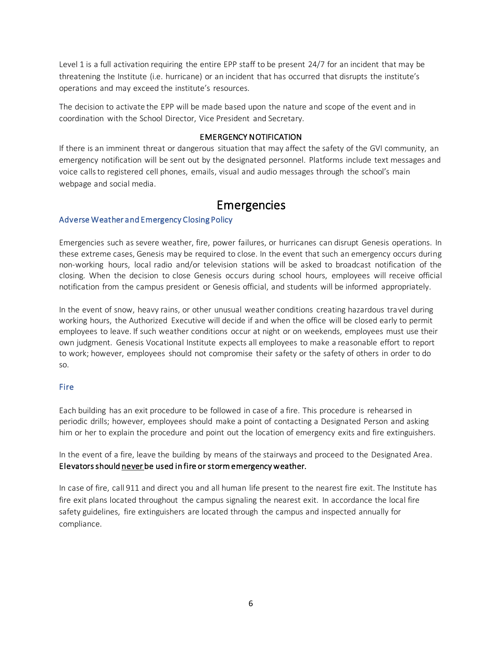Level 1 is a full activation requiring the entire EPP staff to be present 24/7 for an incident that may be threatening the Institute (i.e. hurricane) or an incident that has occurred that disrupts the institute's operations and may exceed the institute's resources.

The decision to activate the EPP will be made based upon the nature and scope of the event and in coordination with the School Director, Vice President and Secretary.

#### EMERGENCY NOTIFICATION

<span id="page-6-0"></span>If there is an imminent threat or dangerous situation that may affect the safety of the GVI community, an emergency notification will be sent out by the designated personnel. Platforms include text messages and voice calls to registered cell phones, emails, visual and audio messages through the school's main webpage and social media.

### Emergencies

#### <span id="page-6-2"></span><span id="page-6-1"></span>Adverse Weather and Emergency Closing Policy

Emergencies such as severe weather, fire, power failures, or hurricanes can disrupt Genesis operations. In these extreme cases, Genesis may be required to close. In the event that such an emergency occurs during non-working hours, local radio and/or television stations will be asked to broadcast notification of the closing. When the decision to close Genesis occurs during school hours, employees will receive official notification from the campus president or Genesis official, and students will be informed appropriately.

In the event of snow, heavy rains, or other unusual weather conditions creating hazardous travel during working hours, the Authorized Executive will decide if and when the office will be closed early to permit employees to leave. If such weather conditions occur at night or on weekends, employees must use their own judgment. Genesis Vocational Institute expects all employees to make a reasonable effort to report to work; however, employees should not compromise their safety or the safety of others in order to do so.

#### <span id="page-6-3"></span>Fire

Each building has an exit procedure to be followed in case of a fire. This procedure is rehearsed in periodic drills; however, employees should make a point of contacting a Designated Person and asking him or her to explain the procedure and point out the location of emergency exits and fire extinguishers.

In the event of a fire, leave the building by means of the stairways and proceed to the Designated Area. Elevators should never be used in fire or storm emergency weather.

In case of fire, call 911 and direct you and all human life present to the nearest fire exit. The Institute has fire exit plans located throughout the campus signaling the nearest exit. In accordance the local fire safety guidelines, fire extinguishers are located through the campus and inspected annually for compliance.